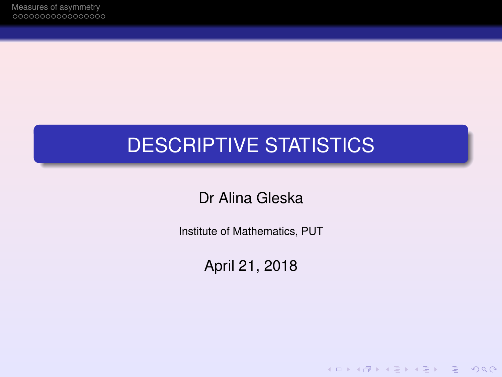# DESCRIPTIVE STATISTICS

Dr Alina Gleska

Institute of Mathematics, PUT

April 21, 2018

K ロ ▶ K @ ▶ K 할 ▶ K 할 ▶ | 할 | © Q Q @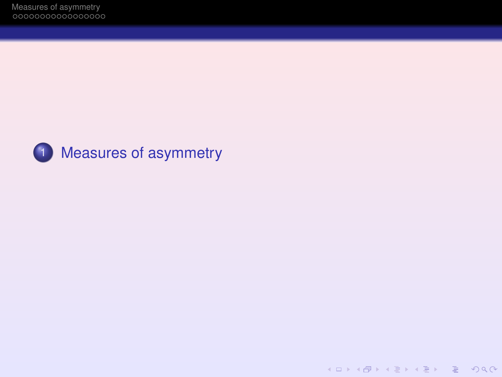

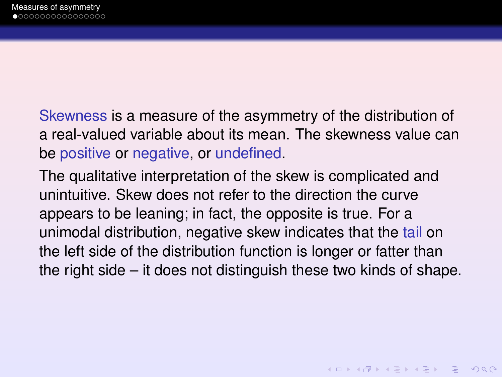<span id="page-2-0"></span>Skewness is a measure of the asymmetry of the distribution of a real-valued variable about its mean. The skewness value can be positive or negative, or undefined.

The qualitative interpretation of the skew is complicated and unintuitive. Skew does not refer to the direction the curve appears to be leaning; in fact, the opposite is true. For a unimodal distribution, negative skew indicates that the tail on the left side of the distribution function is longer or fatter than the right side – it does not distinguish these two kinds of shape.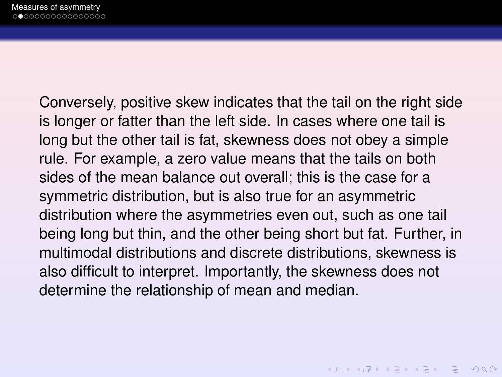Conversely, positive skew indicates that the tail on the right side is longer or fatter than the left side. In cases where one tail is long but the other tail is fat, skewness does not obey a simple rule. For example, a zero value means that the tails on both sides of the mean balance out overall; this is the case for a symmetric distribution, but is also true for an asymmetric distribution where the asymmetries even out, such as one tail being long but thin, and the other being short but fat. Further, in multimodal distributions and discrete distributions, skewness is also difficult to interpret. Importantly, the skewness does not determine the relationship of mean and median.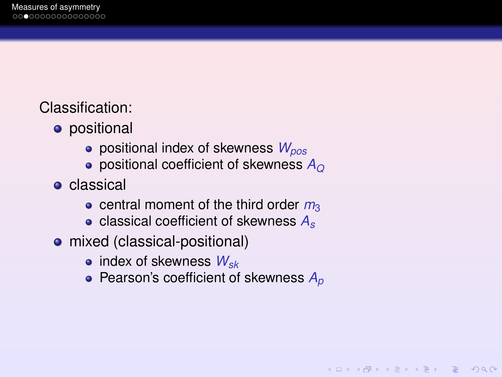Classification:

- **•** positional
	- positional index of skewness *Wpos*
	- positional coefficient of skewness *A<sup>Q</sup>*
- **o** classical
	- $\bullet$  central moment of the third order  $m_3$
	- classical coefficient of skewness *A<sup>s</sup>*
- mixed (classical-positional)
	- index of skewness *Wsk*
	- Pearson's coefficient of skewness  $A_p$

KEL KALA KELKEL EL YAN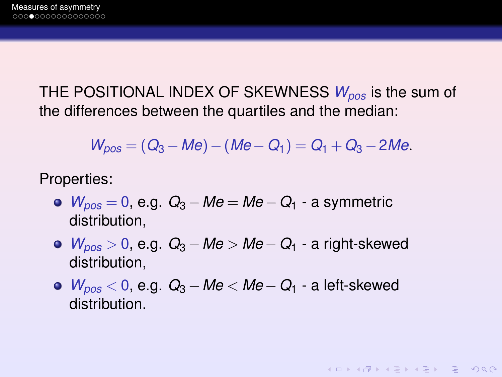THE POSITIONAL INDEX OF SKEWNESS *Wpos* is the sum of the differences between the quartiles and the median:

$$
W_{pos} = (Q_3 - Me) - (Me - Q_1) = Q_1 + Q_3 - 2Me.
$$

Properties:

- *Wpos* = 0, e.g. *Q*<sup>3</sup> − *Me* = *Me* −*Q*<sup>1</sup> a symmetric distribution,
- *Wpos* > 0, e.g. *Q*<sup>3</sup> − *Me* > *Me* −*Q*<sup>1</sup> a right-skewed distribution,
- *Wpos* < 0, e.g. *Q*<sup>3</sup> − *Me* < *Me* −*Q*<sup>1</sup> a left-skewed distribution.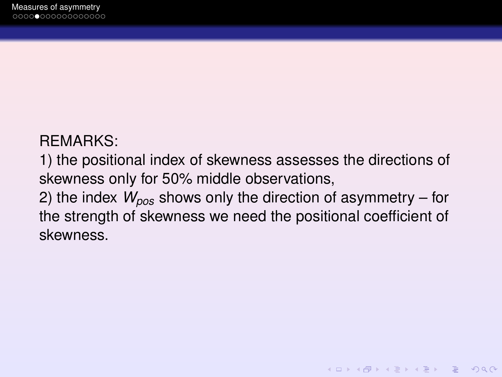#### REMARKS:

1) the positional index of skewness assesses the directions of skewness only for 50% middle observations,

2) the index *Wpos* shows only the direction of asymmetry – for the strength of skewness we need the positional coefficient of skewness.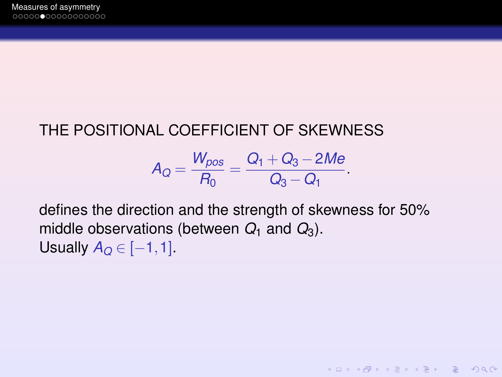# THE POSITIONAL COEFFICIENT OF SKEWNESS

$$
A_Q = \frac{W_{pos}}{R_0} = \frac{Q_1 + Q_3 - 2Me}{Q_3 - Q_1}.
$$

defines the direction and the strength of skewness for 50% middle observations (between  $Q_1$  and  $Q_3$ ). Usually  $A_Q \in [-1,1]$ .

KEL KARIKEN (EN 1990)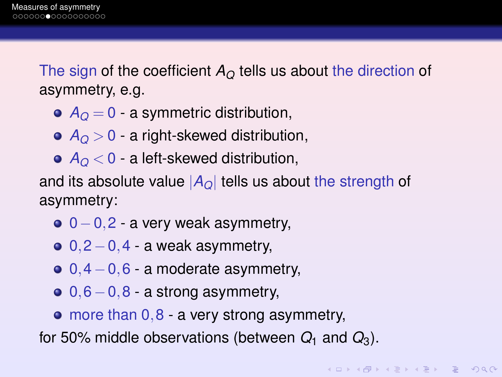The sign of the coefficient  $A_{\Omega}$  tells us about the direction of asymmetry, e.g.

- $\bullet$   $A_{\Omega} = 0$  a symmetric distribution,
- $\bullet$   $A<sub>O</sub>$  > 0 a right-skewed distribution,
- $\bullet$   $A<sub>O</sub> < 0$  a left-skewed distribution,

and its absolute value  $|A_{\Omega}|$  tells us about the strength of asymmetry:

- $0-0,2$  a very weak asymmetry,
- $0,2-0,4$  a weak asymmetry,
- $0,4-0,6$  a moderate asymmetry,
- $0,6-0,8$  a strong asymmetry,
- $\bullet$  more than  $0,8$  a very strong asymmetry,

for 50% middle observations (between  $Q_1$  and  $Q_3$ ).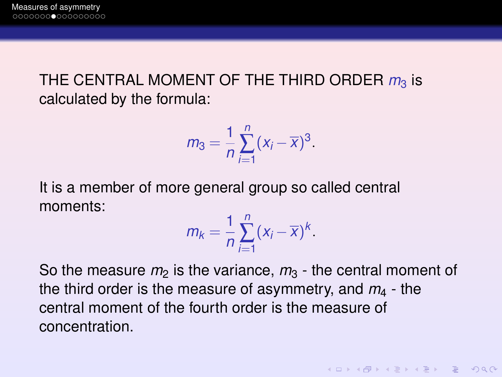## THE CENTRAL MOMENT OF THE THIRD ORDER  $m_3$  is calculated by the formula:

$$
m_3=\frac{1}{n}\sum_{i=1}^n(x_i-\overline{x})^3.
$$

It is a member of more general group so called central moments:

$$
m_k = \frac{1}{n} \sum_{i=1}^n (x_i - \overline{x})^k.
$$

So the measure  $m_2$  is the variance,  $m_3$  - the central moment of the third order is the measure of asymmetry, and  $m<sub>4</sub>$  - the central moment of the fourth order is the measure of concentration.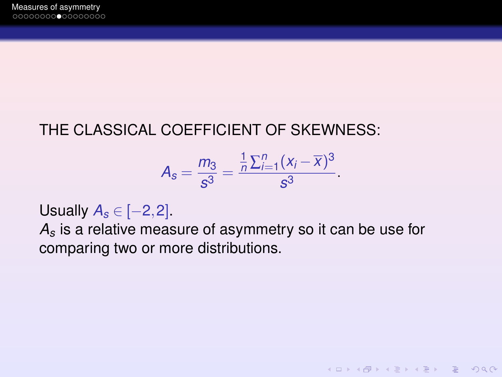# THE CLASSICAL COEFFICIENT OF SKEWNESS:

$$
A_s = \frac{m_3}{s^3} = \frac{\frac{1}{n}\sum_{i=1}^n(x_i - \overline{x})^3}{s^3}.
$$

KEL KARIKEN (EN 1990)

Usually  $A_s \in [-2,2]$ .

*A<sup>s</sup>* is a relative measure of asymmetry so it can be use for comparing two or more distributions.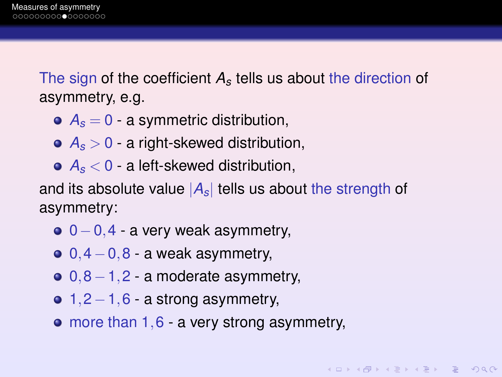The sign of the coefficient *A<sup>s</sup>* tells us about the direction of asymmetry, e.g.

- $\bullet$   $A_s = 0$  a symmetric distribution,
- $\bullet$   $A_s > 0$  a right-skewed distribution,
- *A<sup>s</sup>* < 0 a left-skewed distribution,

and its absolute value  $|A_s|$  tells us about the strength of asymmetry:

- $0-0,4$  a very weak asymmetry,
- $0, 4-0, 8$  a weak asymmetry,
- $0,8-1,2$  a moderate asymmetry,
- $\bullet$  1,2−1,6 a strong asymmetry,
- more than 1,6 a very strong asymmetry,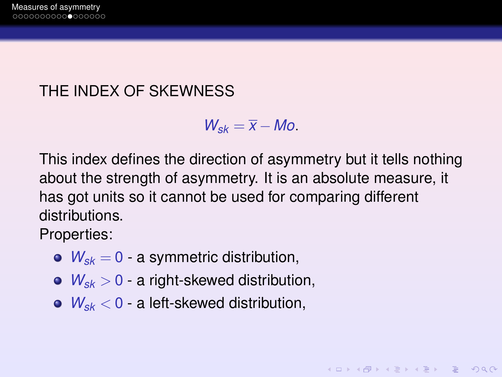## THE INDEX OF SKEWNESS

 $W_{sk} = \overline{X} - Mo.$ 

This index defines the direction of asymmetry but it tells nothing about the strength of asymmetry. It is an absolute measure, it has got units so it cannot be used for comparing different distributions.

KEL KARIKEN (EN 1990)

Properties:

- $W_{sk} = 0$  a symmetric distribution,
- $\bullet$   $W_{sk} > 0$  a right-skewed distribution,
- *Wsk* < 0 a left-skewed distribution,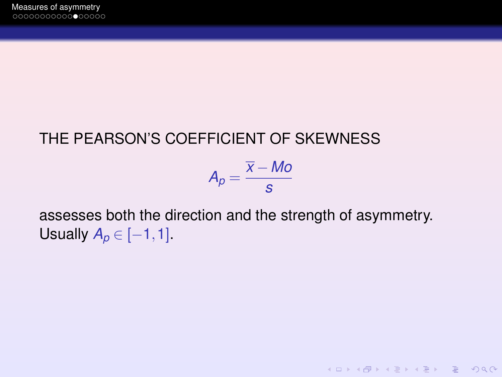## THE PEARSON'S COEFFICIENT OF SKEWNESS



**KOD KAD KED KED E VAN** 

assesses both the direction and the strength of asymmetry. Usually  $A_p \in [-1,1]$ .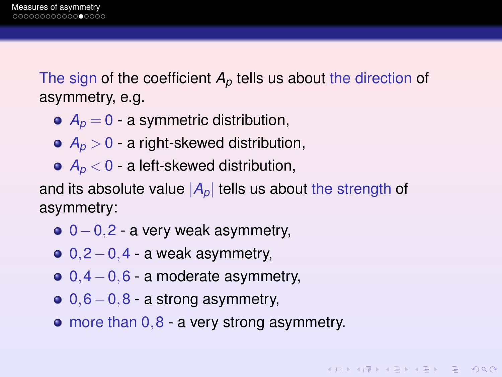The sign of the coefficient  $A_p$  tells us about the direction of asymmetry, e.g.

- $\bullet$   $A_p = 0$  a symmetric distribution,
- $\bullet$   $A_p > 0$  a right-skewed distribution,
- $\bullet$   $A_p < 0$  a left-skewed distribution,

and its absolute value  $|A_p|$  tells us about the strength of asymmetry:

- $0-0,2$  a very weak asymmetry,
- $0,2-0,4$  a weak asymmetry,
- $0,4-0,6$  a moderate asymmetry,
- $0,6-0,8$  a strong asymmetry,
- more than 0,8 a very strong asymmetry.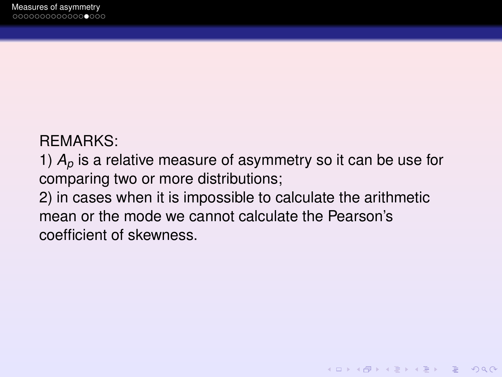#### REMARKS:

1) *A<sup>p</sup>* is a relative measure of asymmetry so it can be use for comparing two or more distributions;

2) in cases when it is impossible to calculate the arithmetic mean or the mode we cannot calculate the Pearson's coefficient of skewness.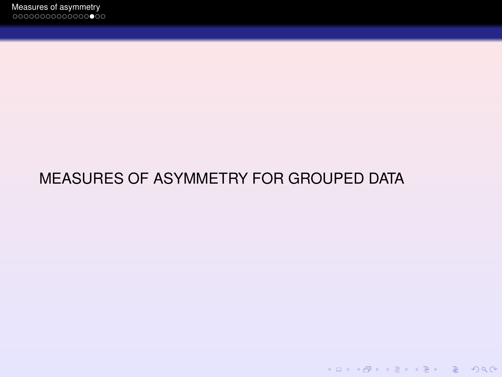# MEASURES OF ASYMMETRY FOR GROUPED DATA

K ロ > K @ > K 할 > K 할 > L 할 > O Q @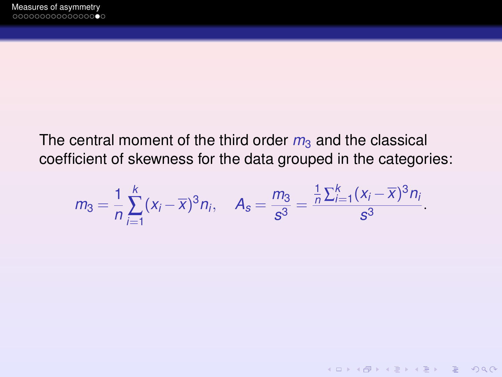## The central moment of the third order  $m_3$  and the classical coefficient of skewness for the data grouped in the categories:

$$
m_3 = \frac{1}{n} \sum_{i=1}^k (x_i - \overline{x})^3 n_i
$$
,  $A_s = \frac{m_3}{s^3} = \frac{\frac{1}{n} \sum_{i=1}^k (x_i - \overline{x})^3 n_i}{s^3}$ .